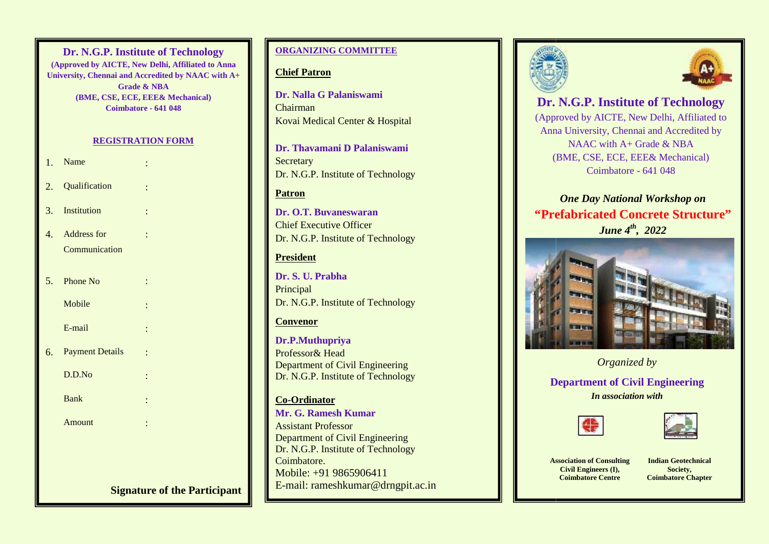## **Signature of Technology**<br>
(Approved by AICTE, New Delhi, Affiliated to Anna **University, Chennai and Accredited by NAAC with A+ Assistant Professor Contract Professor** (BME, CSE, ECE, EEE& Mechanical) **Coimbatore - 641 048 Dr. N.G.P. Institute of Technology**

## **REGISTRATION FORM**

:

- 1. Name
- 2. Qualification
- 3. Institution :
- 4. Address for Communication
- $5.$  Phone No

**Mobile** 

E-mail

- 6. Payment Details
	- $D.D.No$

Bank :

Amount :

# **ORGANIZING COMMITTEE**

# **Chief Patron**

**Dr. Nalla G Palaniswami** Chairman Kovai Medical Center & Hospital

**Dr. Thavamani D Palaniswami Secretary** Dr. N.G.P. Institute of Technology

# **Patron**

**Dr. O.T. Buvaneswaran** Chief Executive Officer Dr. N.G.P. Institute of Technology

# **President**

**Dr. S. U. Prabha** Principal Dr. N.G.P. Institute of Technology

# **Convenor**

**Dr.P.Muthupriya** Professor& Head Department of Civil Engineering Dr. N.G.P. Institute of Technology

# **Co-Ordinator**

**Mr. G. Ramesh Kumar** Assistant Professor Department of Civil Engineering Dr. N.G.P. Institute of Technology Coimbatore. Mobile: +91 9865906411 E-mail: rameshkumar@drngpit.ac.in Dr. Nalla G P<br>Chairman<br>Kovai Medica<br>Dr. Thavama<br>Secretary<br>Dr. N.G.P. Ins<br>Patron<br>Dr. O.T. Buv:<br>Chief Executi<br>Dr. N.G.P. Ins<br>President<br>Dr. S. U. Pral<br>Principal<br>Dr. N.G.P. Ins<br>Convenor<br>Dr. N.G.P. Ins<br>Convenor<br>Dr. N.G.P. Ins<br>C





## **Dr. N.G.P. Institute of Technology** (Approved by AICTE, New Delhi, Affiliated to Anna University, Chennai and Accredited by NAAC with A+ Grade & NBA (BME, CSE, ECE, EEE& Mechanical) Coimbatore - 641 048 Delhi, Affiliated<br>and Accredited by<br>de & NBA<br>& Mechanical)

# *One Day National Workshop on* **"Prefabricated Concrete Structure"** *June 4th , 2022*



# *Organized by*

**Department of Civil Engineering** *In association with*





**Association of Consulting Civil Engineers (I), Coimbatore Centre**

**Indian Geotechnical Society, Coimbatore Chapter**

**Signature of the Participant**